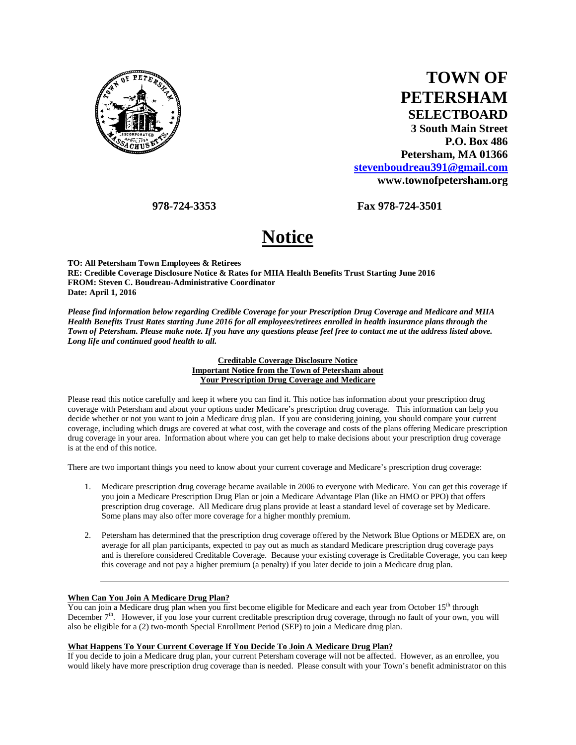

| <b>TOWN OF</b>              |
|-----------------------------|
| <b>PETERSHAM</b>            |
| <b>SELECTBOARD</b>          |
| <b>3 South Main Street</b>  |
| <b>P.O. Box 486</b>         |
| Petersham, MA 01366         |
| stevenboudreau391@gmail.com |
| www.townofpetersham.org     |

 **978-724-3353 Fax 978-724-3501** 

# **Notice**

**TO: All Petersham Town Employees & Retirees RE: Credible Coverage Disclosure Notice & Rates for MIIA Health Benefits Trust Starting June 2016 FROM: Steven C. Boudreau-Administrative Coordinator Date: April 1, 2016** 

*Please find information below regarding Credible Coverage for your Prescription Drug Coverage and Medicare and MIIA Health Benefits Trust Rates starting June 2016 for all employees/retirees enrolled in health insurance plans through the Town of Petersham. Please make note. If you have any questions please feel free to contact me at the address listed above. Long life and continued good health to all.* 

> **Creditable Coverage Disclosure Notice Important Notice from the Town of Petersham about Your Prescription Drug Coverage and Medicare**

Please read this notice carefully and keep it where you can find it. This notice has information about your prescription drug coverage with Petersham and about your options under Medicare's prescription drug coverage. This information can help you decide whether or not you want to join a Medicare drug plan. If you are considering joining, you should compare your current coverage, including which drugs are covered at what cost, with the coverage and costs of the plans offering Medicare prescription drug coverage in your area. Information about where you can get help to make decisions about your prescription drug coverage is at the end of this notice.

There are two important things you need to know about your current coverage and Medicare's prescription drug coverage:

- 1. Medicare prescription drug coverage became available in 2006 to everyone with Medicare. You can get this coverage if you join a Medicare Prescription Drug Plan or join a Medicare Advantage Plan (like an HMO or PPO) that offers prescription drug coverage. All Medicare drug plans provide at least a standard level of coverage set by Medicare. Some plans may also offer more coverage for a higher monthly premium.
- 2. Petersham has determined that the prescription drug coverage offered by the Network Blue Options or MEDEX are, on average for all plan participants, expected to pay out as much as standard Medicare prescription drug coverage pays and is therefore considered Creditable Coverage. Because your existing coverage is Creditable Coverage, you can keep this coverage and not pay a higher premium (a penalty) if you later decide to join a Medicare drug plan.

#### **When Can You Join A Medicare Drug Plan?**

You can join a Medicare drug plan when you first become eligible for Medicare and each year from October 15<sup>th</sup> through December  $7<sup>th</sup>$ . However, if you lose your current creditable prescription drug coverage, through no fault of your own, you will also be eligible for a (2) two-month Special Enrollment Period (SEP) to join a Medicare drug plan.

## **What Happens To Your Current Coverage If You Decide To Join A Medicare Drug Plan?**

If you decide to join a Medicare drug plan, your current Petersham coverage will not be affected. However, as an enrollee, you would likely have more prescription drug coverage than is needed. Please consult with your Town's benefit administrator on this